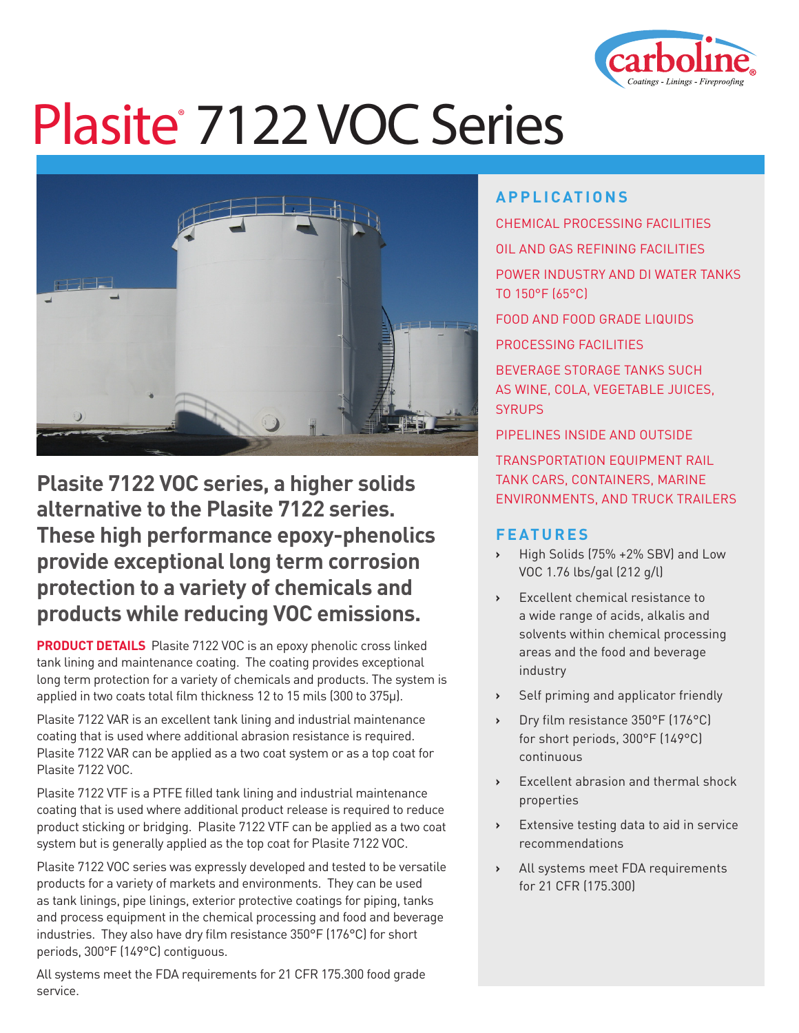

# Plasite<sup>®</sup> 7122 VOC Series



**Plasite 7122 VOC series, a higher solids alternative to the Plasite 7122 series. These high performance epoxy-phenolics provide exceptional long term corrosion protection to a variety of chemicals and products while reducing VOC emissions.**

**PRODUCT DETAILS** Plasite 7122 VOC is an epoxy phenolic cross linked tank lining and maintenance coating. The coating provides exceptional long term protection for a variety of chemicals and products. The system is applied in two coats total film thickness 12 to 15 mils (300 to 375µ).

Plasite 7122 VAR is an excellent tank lining and industrial maintenance coating that is used where additional abrasion resistance is required. Plasite 7122 VAR can be applied as a two coat system or as a top coat for Plasite 7122 VOC.

Plasite 7122 VTF is a PTFE filled tank lining and industrial maintenance coating that is used where additional product release is required to reduce product sticking or bridging. Plasite 7122 VTF can be applied as a two coat system but is generally applied as the top coat for Plasite 7122 VOC.

Plasite 7122 VOC series was expressly developed and tested to be versatile products for a variety of markets and environments. They can be used as tank linings, pipe linings, exterior protective coatings for piping, tanks and process equipment in the chemical processing and food and beverage industries. They also have dry film resistance 350°F (176°C) for short periods, 300°F (149°C) contiguous.

All systems meet the FDA requirements for 21 CFR 175.300 food grade service.

### **APPLICATIONS**

CHEMICAL PROCESSING FACILITIES OIL AND GAS REFINING FACILITIES POWER INDUSTRY AND DI WATER TANKS TO 150°F (65°C) FOOD AND FOOD GRADE LIQUIDS PROCESSING FACILITIES BEVERAGE STORAGE TANKS SUCH

AS WINE, COLA, VEGETABLE JUICES, **SYRUPS** 

PIPELINES INSIDE AND OUTSIDE

TRANSPORTATION EQUIPMENT RAIL TANK CARS, CONTAINERS, MARINE ENVIRONMENTS, AND TRUCK TRAILERS

#### **FEATURES**

- **›** High Solids (75% +2% SBV) and Low VOC 1.76 lbs/gal (212 g/l)
- **›** Excellent chemical resistance to a wide range of acids, alkalis and solvents within chemical processing areas and the food and beverage industry
- **›** Self priming and applicator friendly
- **›** Dry film resistance 350°F (176°C) for short periods, 300°F (149°C) continuous
- **›** Excellent abrasion and thermal shock properties
- **›** Extensive testing data to aid in service recommendations
- **›** All systems meet FDA requirements for 21 CFR (175.300)